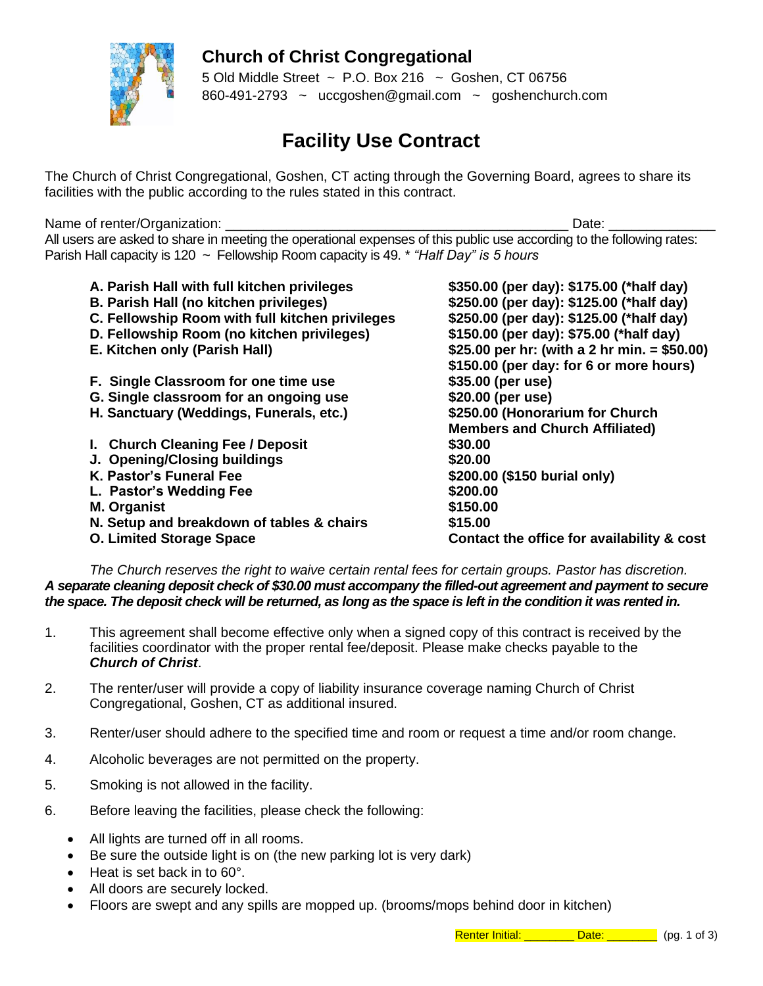

## **Church of Christ Congregational**

5 Old Middle Street ~ P.O. Box 216 ~ Goshen, CT 06756 860-491-2793 ~ uccgoshen@gmail.com ~ goshenchurch.com

## **Facility Use Contract**

The Church of Christ Congregational, Goshen, CT acting through the Governing Board, agrees to share its facilities with the public according to the rules stated in this contract.

Name of renter/Organization: \_\_\_\_\_\_\_\_\_\_\_\_\_\_\_\_\_\_\_\_\_\_\_\_\_\_\_\_\_\_\_\_\_\_\_\_\_\_\_\_\_\_\_\_\_ Date: \_\_\_\_\_\_\_\_\_\_\_\_\_\_ All users are asked to share in meeting the operational expenses of this public use according to the following rates: Parish Hall capacity is 120 ~ Fellowship Room capacity is 49. *\* "Half Day" is 5 hours*

**A. Parish Hall with full kitchen privileges \$350.00 (per day): \$175.00 (\*half day) B. Parish Hall (no kitchen privileges) \$250.00 (per day): \$125.00 (\*half day) C. Fellowship Room with full kitchen privileges \$250.00 (per day): \$125.00 (\*half day) D. Fellowship Room (no kitchen privileges) \$150.00 (per day): \$75.00 (\*half day) E. Kitchen only (Parish Hall) \$25.00 per hr: (with a 2 hr min. = \$50.00) \$150.00 (per day: for 6 or more hours) F. Single Classroom for one time use \$35.00 (per use) G. Single classroom for an ongoing use \$20.00 (per use) H. Sanctuary (Weddings, Funerals, etc.) Members and Church Affiliated) I. Church Cleaning Fee / Deposit \$30.00 J. Opening/Closing buildings \$20.00 K. Pastor's Funeral Fee \$200.00 (\$150 burial only)** L. Pastor's Wedding Fee **\$200.00 M. Organist \$150.00 N. Setup and breakdown of tables & chairs \$15.00 O. Limited Storage Space Contact the office for availability & cost**

*The Church reserves the right to waive certain rental fees for certain groups. Pastor has discretion. A separate cleaning deposit check of \$30.00 must accompany the filled-out agreement and payment to secure the space. The deposit check will be returned, as long as the space is left in the condition it was rented in.*

- 1. This agreement shall become effective only when a signed copy of this contract is received by the facilities coordinator with the proper rental fee/deposit. Please make checks payable to the *Church of Christ*.
- 2. The renter/user will provide a copy of liability insurance coverage naming Church of Christ Congregational, Goshen, CT as additional insured.
- 3. Renter/user should adhere to the specified time and room or request a time and/or room change.
- 4. Alcoholic beverages are not permitted on the property.
- 5. Smoking is not allowed in the facility.
- 6. Before leaving the facilities, please check the following:
	- All lights are turned off in all rooms.
	- Be sure the outside light is on (the new parking lot is very dark)
	- Heat is set back in to 60°.
	- All doors are securely locked.
	- Floors are swept and any spills are mopped up. (brooms/mops behind door in kitchen)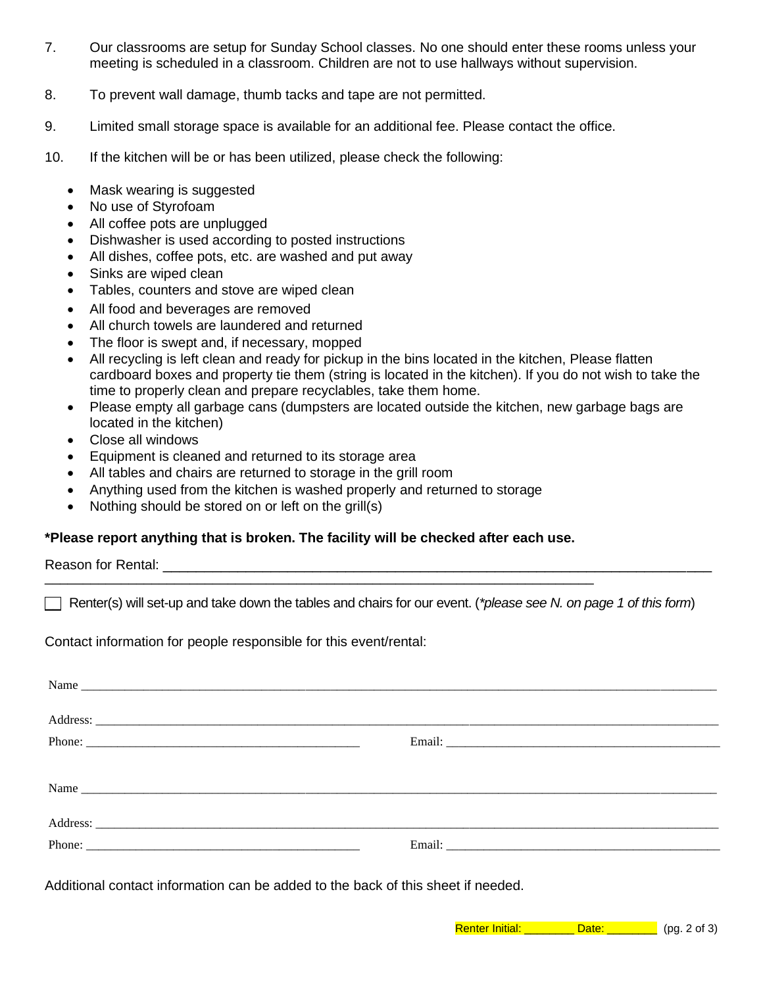- 7. Our classrooms are setup for Sunday School classes. No one should enter these rooms unless your meeting is scheduled in a classroom. Children are not to use hallways without supervision.
- 8. To prevent wall damage, thumb tacks and tape are not permitted.
- 9. Limited small storage space is available for an additional fee. Please contact the office.
- 10. If the kitchen will be or has been utilized, please check the following:
	- Mask wearing is suggested
	- No use of Styrofoam
	- All coffee pots are unplugged
	- Dishwasher is used according to posted instructions
	- All dishes, coffee pots, etc. are washed and put away
	- Sinks are wiped clean
	- Tables, counters and stove are wiped clean
	- All food and beverages are removed
	- All church towels are laundered and returned
	- The floor is swept and, if necessary, mopped
	- All recycling is left clean and ready for pickup in the bins located in the kitchen, Please flatten cardboard boxes and property tie them (string is located in the kitchen). If you do not wish to take the time to properly clean and prepare recyclables, take them home.
	- Please empty all garbage cans (dumpsters are located outside the kitchen, new garbage bags are located in the kitchen)
	- Close all windows
	- Equipment is cleaned and returned to its storage area
	- All tables and chairs are returned to storage in the grill room
	- Anything used from the kitchen is washed properly and returned to storage
	- Nothing should be stored on or left on the grill(s)

## **\*Please report anything that is broken. The facility will be checked after each use.**

Reason for Rental: \_\_\_\_\_\_\_\_\_\_\_\_\_\_\_\_\_\_\_\_\_\_\_\_\_\_\_\_\_\_\_\_\_\_\_\_\_\_\_\_\_\_\_\_\_\_\_\_\_\_\_\_\_\_\_\_\_\_\_\_\_\_\_\_\_\_ \_\_\_\_\_\_\_\_\_\_\_\_\_\_\_\_\_\_\_\_\_\_\_\_\_\_\_\_\_\_\_\_\_\_\_\_\_\_\_\_\_\_\_\_\_\_\_\_\_\_\_\_\_\_\_\_\_\_\_\_\_\_\_\_\_\_\_\_\_\_\_\_

\_\_ Renter(s) will set-up and take down the tables and chairs for our event. (*\*please see N. on page 1 of this form*)

Contact information for people responsible for this event/rental:

Additional contact information can be added to the back of this sheet if needed.